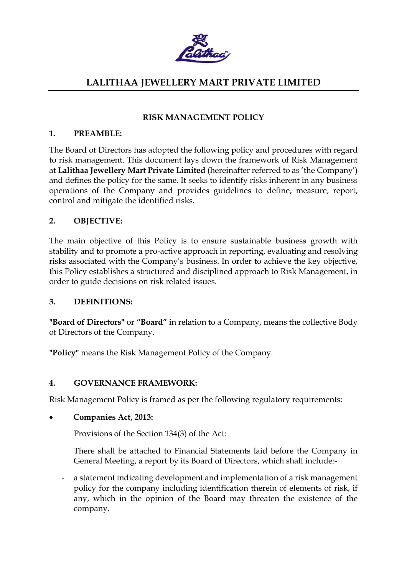

## RISK MANAGEMENT POLICY

### 1. PREAMBLE:

The Board of Directors has adopted the following policy and procedures with regard to risk management. This document lays down the framework of Risk Management at Lalithaa Jewellery Mart Private Limited (hereinafter referred to as 'the Company') and defines the policy for the same. It seeks to identify risks inherent in any business operations of the Company and provides guidelines to define, measure, report, control and mitigate the identified risks.

## 2. OBJECTIVE:

The main objective of this Policy is to ensure sustainable business growth with stability and to promote a pro-active approach in reporting, evaluating and resolving risks associated with the Company's business. In order to achieve the key objective, this Policy establishes a structured and disciplined approach to Risk Management, in order to guide decisions on risk related issues.

## 3. DEFINITIONS:

"Board of Directors" or "Board" in relation to a Company, means the collective Body of Directors of the Company.

"Policy" means the Risk Management Policy of the Company.

## 4. GOVERNANCE FRAMEWORK:

Risk Management Policy is framed as per the following regulatory requirements:

## Companies Act, 2013:

Provisions of the Section 134(3) of the Act:

There shall be attached to Financial Statements laid before the Company in General Meeting, a report by its Board of Directors, which shall include:-

- a statement indicating development and implementation of a risk management policy for the company including identification therein of elements of risk, if any, which in the opinion of the Board may threaten the existence of the company.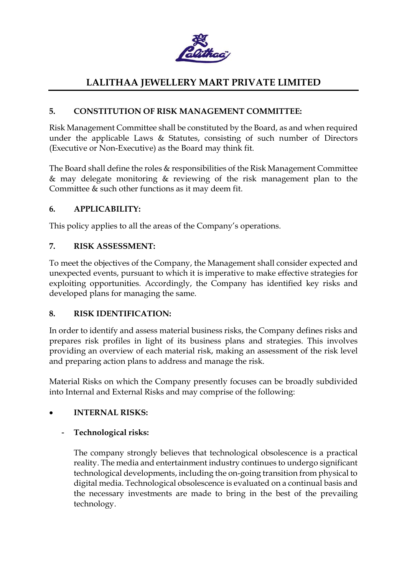

## 5. CONSTITUTION OF RISK MANAGEMENT COMMITTEE:

Risk Management Committee shall be constituted by the Board, as and when required under the applicable Laws & Statutes, consisting of such number of Directors (Executive or Non-Executive) as the Board may think fit.

The Board shall define the roles & responsibilities of the Risk Management Committee & may delegate monitoring & reviewing of the risk management plan to the Committee & such other functions as it may deem fit.

## 6. APPLICABILITY:

This policy applies to all the areas of the Company's operations.

## 7. RISK ASSESSMENT:

To meet the objectives of the Company, the Management shall consider expected and unexpected events, pursuant to which it is imperative to make effective strategies for exploiting opportunities. Accordingly, the Company has identified key risks and developed plans for managing the same.

## 8. RISK IDENTIFICATION:

In order to identify and assess material business risks, the Company defines risks and prepares risk profiles in light of its business plans and strategies. This involves providing an overview of each material risk, making an assessment of the risk level and preparing action plans to address and manage the risk.

Material Risks on which the Company presently focuses can be broadly subdivided into Internal and External Risks and may comprise of the following:

## INTERNAL RISKS:

## - Technological risks:

The company strongly believes that technological obsolescence is a practical reality. The media and entertainment industry continues to undergo significant technological developments, including the on-going transition from physical to digital media. Technological obsolescence is evaluated on a continual basis and the necessary investments are made to bring in the best of the prevailing technology.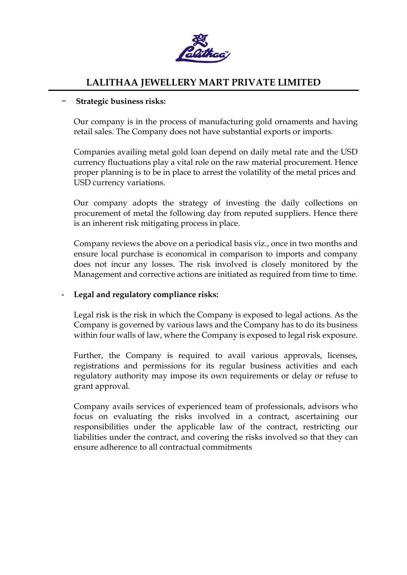

### − Strategic business risks:

Our company is in the process of manufacturing gold ornaments and having retail sales. The Company does not have substantial exports or imports.

Companies availing metal gold loan depend on daily metal rate and the USD currency fluctuations play a vital role on the raw material procurement. Hence proper planning is to be in place to arrest the volatility of the metal prices and USD currency variations.

Our company adopts the strategy of investing the daily collections on procurement of metal the following day from reputed suppliers. Hence there is an inherent risk mitigating process in place.

Company reviews the above on a periodical basis viz., once in two months and ensure local purchase is economical in comparison to imports and company does not incur any losses. The risk involved is closely monitored by the Management and corrective actions are initiated as required from time to time.

#### Legal and regulatory compliance risks:

Legal risk is the risk in which the Company is exposed to legal actions. As the Company is governed by various laws and the Company has to do its business within four walls of law, where the Company is exposed to legal risk exposure.

Further, the Company is required to avail various approvals, licenses, registrations and permissions for its regular business activities and each regulatory authority may impose its own requirements or delay or refuse to grant approval.

Company avails services of experienced team of professionals, advisors who focus on evaluating the risks involved in a contract, ascertaining our responsibilities under the applicable law of the contract, restricting our liabilities under the contract, and covering the risks involved so that they can ensure adherence to all contractual commitments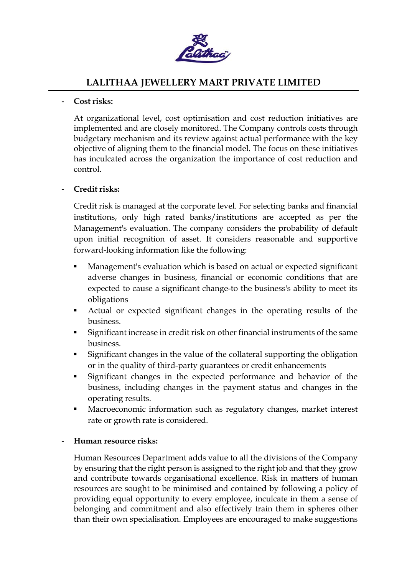

### Cost risks:

At organizational level, cost optimisation and cost reduction initiatives are implemented and are closely monitored. The Company controls costs through budgetary mechanism and its review against actual performance with the key objective of aligning them to the financial model. The focus on these initiatives has inculcated across the organization the importance of cost reduction and control.

## - Credit risks:

Credit risk is managed at the corporate level. For selecting banks and financial institutions, only high rated banks/institutions are accepted as per the Management's evaluation. The company considers the probability of default upon initial recognition of asset. It considers reasonable and supportive forward-looking information like the following:

- Management's evaluation which is based on actual or expected significant adverse changes in business, financial or economic conditions that are expected to cause a significant change-to the business's ability to meet its obligations
- Actual or expected significant changes in the operating results of the business.
- Significant increase in credit risk on other financial instruments of the same business.
- Significant changes in the value of the collateral supporting the obligation or in the quality of third-party guarantees or credit enhancements
- Significant changes in the expected performance and behavior of the business, including changes in the payment status and changes in the operating results.
- Macroeconomic information such as regulatory changes, market interest rate or growth rate is considered.

#### Human resource risks:

Human Resources Department adds value to all the divisions of the Company by ensuring that the right person is assigned to the right job and that they grow and contribute towards organisational excellence. Risk in matters of human resources are sought to be minimised and contained by following a policy of providing equal opportunity to every employee, inculcate in them a sense of belonging and commitment and also effectively train them in spheres other than their own specialisation. Employees are encouraged to make suggestions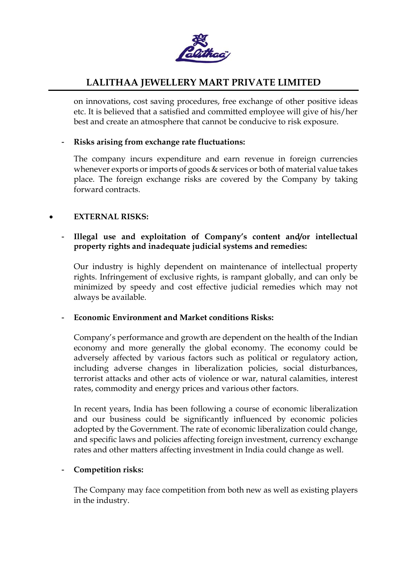

on innovations, cost saving procedures, free exchange of other positive ideas etc. It is believed that a satisfied and committed employee will give of his/her best and create an atmosphere that cannot be conducive to risk exposure.

### - Risks arising from exchange rate fluctuations:

The company incurs expenditure and earn revenue in foreign currencies whenever exports or imports of goods & services or both of material value takes place. The foreign exchange risks are covered by the Company by taking forward contracts.

#### EXTERNAL RISKS:

## Illegal use and exploitation of Company's content and/or intellectual property rights and inadequate judicial systems and remedies:

Our industry is highly dependent on maintenance of intellectual property rights. Infringement of exclusive rights, is rampant globally, and can only be minimized by speedy and cost effective judicial remedies which may not always be available.

#### Economic Environment and Market conditions Risks:

Company's performance and growth are dependent on the health of the Indian economy and more generally the global economy. The economy could be adversely affected by various factors such as political or regulatory action, including adverse changes in liberalization policies, social disturbances, terrorist attacks and other acts of violence or war, natural calamities, interest rates, commodity and energy prices and various other factors.

In recent years, India has been following a course of economic liberalization and our business could be significantly influenced by economic policies adopted by the Government. The rate of economic liberalization could change, and specific laws and policies affecting foreign investment, currency exchange rates and other matters affecting investment in India could change as well.

#### - Competition risks:

The Company may face competition from both new as well as existing players in the industry.